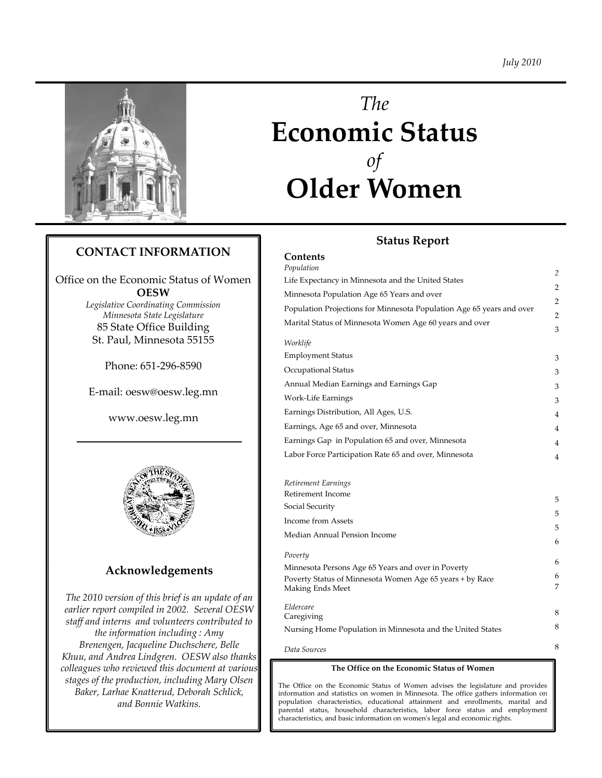

# *The* **E i St t Economic Status** *of* **Older Women**

# **Status Report**

# **CONTACT INFORMATION**

Office on the Economic Status of Women **OESW**



# **Acknowledgements**

*The 2010 version of this brief is an update of an earlier report compiled in 2002. Several OESW staff and interns and volunteers contributed to the information including : Amy Brenengen, Jacqueline Duchschere, Belle Kh d A d Li d OESW l th k Khuu, andAndrea Lindgren. also thanks colleagues who reviewed this document at various stages of the production, including Mary Olsen Baker, Larhae Knatterud, Deborah Schlick, and Bonnie Watkins.* 

| ANTACI INTONIVIATION                                    | Contents<br>Population                                                |                |
|---------------------------------------------------------|-----------------------------------------------------------------------|----------------|
| on the Economic Status of Women                         | Life Expectancy in Minnesota and the United States                    | $\overline{c}$ |
| <b>OESW</b>                                             | Minnesota Population Age 65 Years and over                            | 2              |
| egislative Coordinating Commission                      | Population Projections for Minnesota Population Age 65 years and over | $\overline{2}$ |
| Minnesota State Legislature<br>85 State Office Building | Marital Status of Minnesota Women Age 60 years and over               | 2<br>З         |
| St. Paul, Minnesota 55155                               | Worklife                                                              |                |
| Phone: 651-296-8590                                     | <b>Employment Status</b>                                              | 3              |
|                                                         | Occupational Status                                                   | 3              |
| E-mail: oesw@oesw.leg.mn                                | Annual Median Earnings and Earnings Gap                               | 3              |
|                                                         | Work-Life Earnings                                                    | 3              |
| www.oesw.leg.mn                                         | Earnings Distribution, All Ages, U.S.                                 |                |
|                                                         | Earnings, Age 65 and over, Minnesota                                  |                |
|                                                         | Earnings Gap in Population 65 and over, Minnesota                     |                |
|                                                         | Labor Force Participation Rate 65 and over, Minnesota                 |                |
|                                                         |                                                                       |                |
|                                                         | Retirement Earnings                                                   |                |
|                                                         | Retirement Income                                                     | 5              |
|                                                         | Social Security                                                       |                |

Social Security Income from Assets Median Annual Pension Income *Poverty* Minnesota Persons Age 65 Years and over in Poverty 5 5 5 6 6 Poverty Status of Minnesota Women Age 65 years + by Race Making Ends Meet *Eldercare* Caregiving Nursing Home Population in Minnesota and the United States 6 7 8  $\mathbf{Q}$ 

*Data Sources*

### **The Office on the Economic Status of Women**

8

The Office on the Economic Status of Women advises the legislature and provides information and statistics on women in Minnesota. The office gathers information on population characteristics, educational attainment and enrollments, marital and parental status, household characteristics, labor force status and employment characteristics, and basic information on womenʹs legal and economic rights.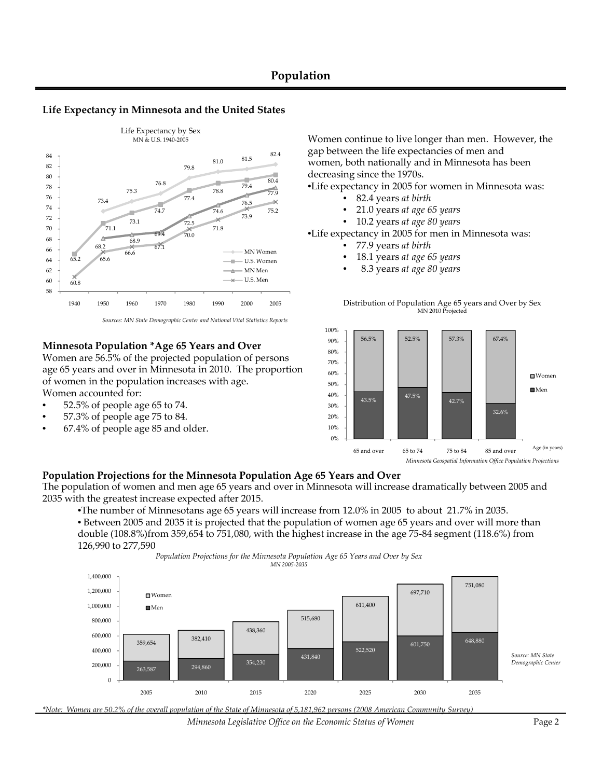# **Population**

### **Life Expectancy in Minnesota and the United States**



*Sources: MN State Demographic Center and National Vital Statistics Reports*

### **Minnesota Population \*Age 65 Years and Over**

Women are 56.5% of the projected population of persons age 65 years and over in Minnesota in 2010. The proportion of women in the population increases with age. Women accounted for:

- 52.5% of people age 65 to 74.
- 57.3% of people age 75 to 84.
- 67.4% of people age 85 and older.

Women continue to live longer than men. However, the gap between the life expectancies of men and women, both nationally and in Minnesota has been decreasing since the 1970s.

•Life expectancy in 2005 for women in Minnesota was:

- 82.4 years *at birth*
- 21.0 years *at age 65 years*
- 10.2 years *at age 80 years*

•Life expectancy in 2005 for men in Minnesota was:

- 77.9 years *at birth*
- 18.1 years *at age 65 years*
- 8.3 years *at age 80 years*





### **Population Projections for the Minnesota Population Age 65 Years and Over**

The population of women and men age 65 years and over in Minnesota will increase dramatically between 2005 and 2035 with the greatest increase expected after 2015.

•The number of Minnesotans age 65 years will increase from 12.0% in 2005 to about 21.7% in 2035. • Between 2005 and 2035 it is projected that the population of women age 65 years and over will more than double (108.8%)from 359,654 to 751,080, with the highest increase in the age 75‐84 segment (118.6%) from 126,990 to 277,590

> *Population Projections for the Minnesota Population Age 65 Years and Over by Sex MN 2005‐2035*





*Minnesota Legislative Office on the Economic Status of Women* Page 2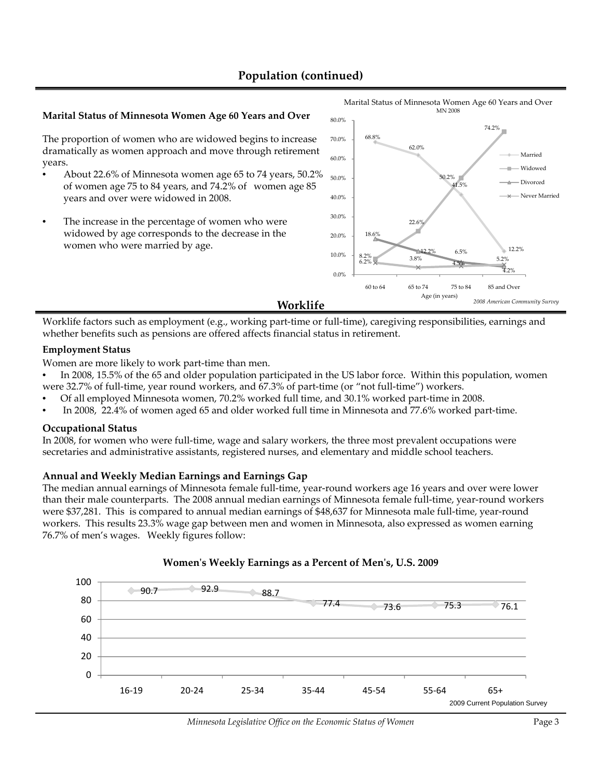# **Population (continued)**

### **Marital Status of Minnesota Women Age 60 Years and Over** 80.0%

The proportion of women who are widowed begins to increase dramatically as women approach and move through retirement years.

- About 22.6% of Minnesota women age 65 to 74 years, 50.2% of women age 75 to 84 years, and 74.2% of women age 85 years and over were widowed in 2008.
- The increase in the percentage of women who were widowed by age corresponds to the decrease in the women who were married by age.



Worklife factors such as employment (e.g., working part-time or full-time), caregiving responsibilities, earnings and whether benefits such as pensions are offered affects financial status in retirement.

### **Employment Status**

Women are more likely to work part-time than men.

- In 2008, 15.5% of the 65 and older population participated in the US labor force. Within this population, women were 32.7% of full-time, year round workers, and 67.3% of part-time (or "not full-time") workers.
- Of all employed Minnesota women, 70.2% worked full time, and 30.1% worked part‐time in 2008.
- In 2008, 22.4% of women aged 65 and older worked full time in Minnesota and 77.6% worked part‐time.

### **Occupational Status**

In 2008, for women who were full-time, wage and salary workers, the three most prevalent occupations were secretaries and administrative assistants, registered nurses, and elementary and middle school teachers.

### **Annual and Weekly Median Earnings and Earnings Gap**

The median annual earnings of Minnesota female full-time, year-round workers age 16 years and over were lower than their male counterparts. The 2008 annual median earnings of Minnesota female full‐time, year‐round workers were \$37,281. This is compared to annual median earnings of \$48,637 for Minnesota male full-time, year-round workers. This results 23.3% wage gap between men and women in Minnesota, also expressed as women earning 76.7% of men's wages. Weekly figures follow:



### **Womenʹs Weekly Earnings as a Percent of Menʹs, U.S. 2009**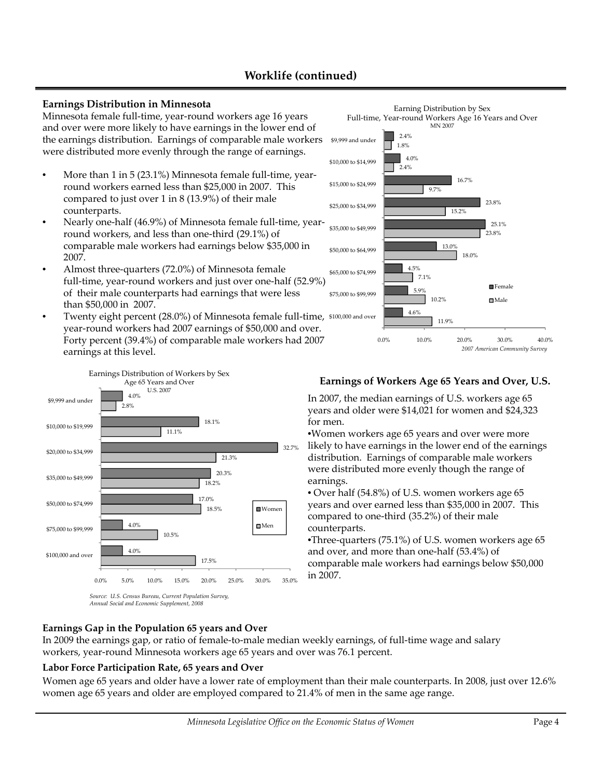# **Worklife (continued)**

### **Earnings Distribution in Minnesota**

Minnesota female full‐time, year‐round workers age 16 years and over were more likely to have earnings in the lower end of the earnings distribution. Earnings of comparable male workers were distributed more evenly through the range of earnings.

- More than 1 in 5 (23.1%) Minnesota female full-time, yearround workers earned less than \$25,000 in 2007. This compared to just over 1 in 8 (13.9%) of their male counterparts counterparts.
- Nearly one-half (46.9%) of Minnesota female full-time, yearround workers, and less than one‐third (29.1%) of comparable male workers had earnings below \$35,000 in 2007.
- Almost three-quarters (72.0%) of Minnesota female full-time, year-round workers and just over one-half (52.9%) of their male counterparts had earnings that were less  $\frac{102\%}{\text{Male}}$  10.2%
- Twenty eight percent (28.0%) of Minnesota female full-time, \$100,000 and over year-round workers had 2007 earnings of \$50,000 and over. Forty percent (39.4%) of comparable male workers had 2007 earnings at this level. *<sup>2007</sup> American Community Survey*



*Source: U.S. Census Bureau, Current Population Survey, Annual Social and Economic Supplement, 2008*

### Earning Distribution by Sex Full-time, Year-round Workers Age 16 Years and Over MN 2007 15 2% 9.7% 2.4% 1.8% 23.8% 16.7% 4.0% 2.4% \$25,000 to \$34,999 \$15,000 to \$24,999 \$10,000 to \$14,999 \$9,999 and under 10 2% 7.1% 18.0% 23.8%  $15.2\%$ <br>13.0%<br> $13.0\%$ <br>13.9%<br>7.1%<br>5.9% 4.5% 13.0% 25.1% \$75,000 to \$99,999 \$65,000 to \$74,999 \$50,000 to \$64,999 \$35,000 to \$49,999 **F**emale 11.9%  $10.2\%$ <br>4.6% 0.0% 10.0% 20.0% 30.0% 40.0%

In 2007, the median earnings of U.S. workers age 65 years and older were \$14,021 for women and \$24,323 for men.

•Women workers age 65 years and over were more likely to have earnings in the lower end of the earnings distribution. Earnings of comparable male workers were distributed more evenly though the range of earnings.

• Over half (54.8%) of U.S. women workers age 65 years and over earned less than \$35,000 in 2007. This compared to one‐third (35.2%) of their male counterparts.

•Three-quarters (75.1%) of U.S. women workers age 65 and over, and more than one‐half (53.4%) of comparable male workers had earnings below \$50,000 17.5%

# **Earnings Gap in the Population 65 years and Over**

In 2009 the earnings gap, or ratio of female‐to‐male median weekly earnings, of full‐time wage and salary workers, year‐round Minnesota workers age 65 years and over was 76.1 percent.

# **Labor Force Participation Rate, 65 years and Over**

Women age 65 years and older have a lower rate of employment than their male counterparts. In 2008, just over 12.6% women age 65 years and older are employed compared to 21.4% of men in the same age range.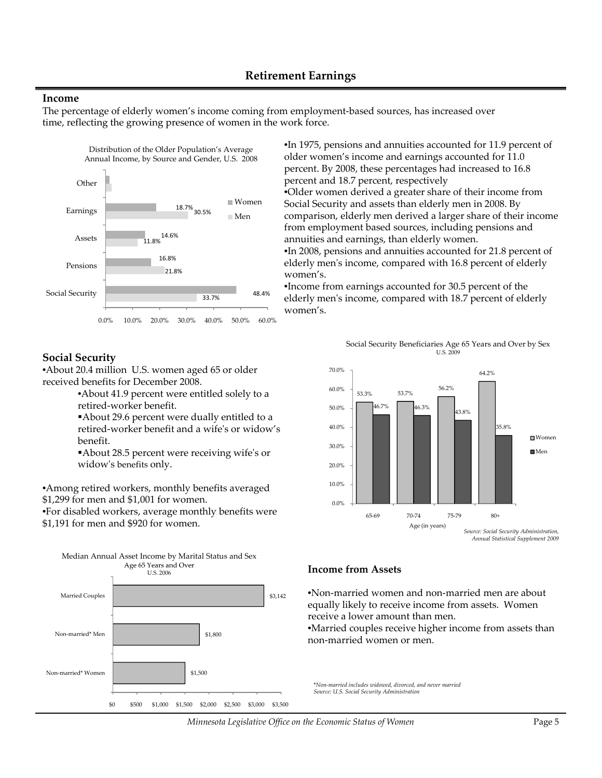# **Retirement Earnings**

### **Income**

The percentage of elderly women's income coming from employment-based sources, has increased over time, reflecting the growing presence of women in the work force.



### **Social Security**

•About 20.4 million U.S. women aged 65 or older received benefits for December 2008.

- •About 41.9 percent were entitled solely to a retired‐worker benefit.
- About 29.6 percent were dually entitled to a retired‐worker benefit and a wifeʹs or widow's benefit.

About 28.5 percent were receiving wife's or widowʹs benefits only.

•Among retired workers, monthly benefits averaged \$1,299 for men and \$1,001 for women.

•For disabled workers, average monthly benefits were \$1,191 for men and \$920 for women.





older women's income and earnings accounted for 11.0 percent. By 2008, these percentages had increased to 16.8 percent and 18.7 percent, respectively •Older women derived a greater share of their income from Social Security and assets than elderly men in 2008. By ld l d d l h f h Men comparison, elderly men deriveda larger share oftheir income from employment based sources, including pensions and annuities and earnings, than elderly women. •In 2008, pensions and annuities accounted for 21.8 percent of elderly men's income, compared with 16.8 percent of elderly women's.

> •Income from earnings accounted for 30.5 percent of the elderly menʹs income, compared with 18.7 percent of elderly men women's.

> > Social Security Beneficiaries Age 65 Years and Over by Sex U.S. 2009



*Annual Statistical Supplement 2009*



•Non‐married women and non‐married men are about equally likely to receive income from assets. Women receive a lower amount than men.

•Married couples receive higher income from assets than non‐married women or men.

\**Non‐married includes widowed, divorced, and never married Source: U.S. Social Security Administration*

*Minnesota Legislative Office on the Economic Status of Women* Page 5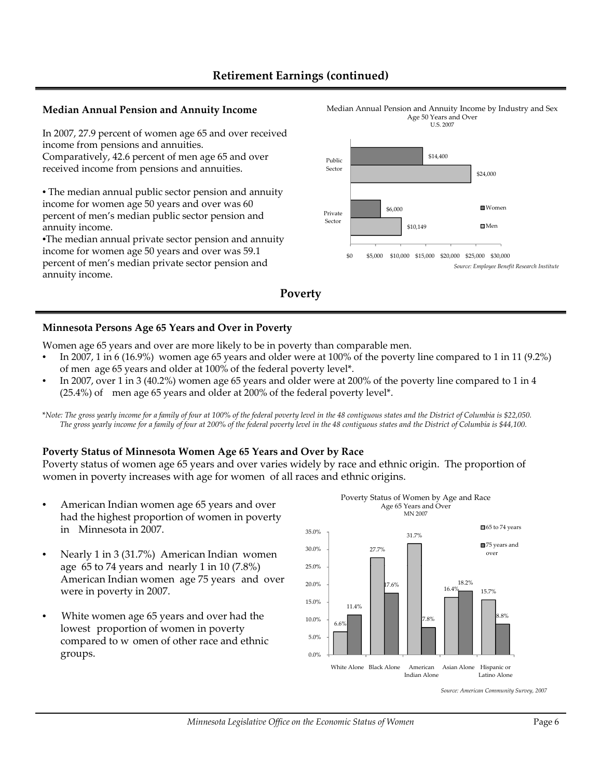# **Retirement Earnings (continued)**

### **Median Annual Pension and Annuity Income** Median Annual Pension and Annuity Income by Industry and Sex

In 2007, 27.9 percent of women age 65 and over received income from pensions and annuities.

Comparatively, 42.6 percent of men age 65 and over received income from pensions and annuities.

• The median annual public sector pension and annuity income for women age 50 years and over was 60 percent of men's median public sector pension and<br>annuity income.

•The median annual private sector pension and annuity income for women age 50 years and over was 59.1 percent of men's median private sector pension and annuity income.





### **Minnesota Persons Age 65 Years and Over in Poverty**

Women age 65 years and over are more likely to be in poverty than comparable men.

- In 2007, 1 in 6 (16.9%) women age 65 years and older were at 100% of the poverty line compared to 1 in 11 (9.2%) of men age 65 years and older at 100% of the federal poverty level\*.
- In 2007, over 1 in 3 (40.2%) women age 65 years and older were at 200% of the poverty line compared to 1 in 4  $(25.4%)$  of men age 65 years and older at 200% of the federal poverty level\*.

\*Note: The gross yearly income for a family of four at 100% of the federal poverty level in the 48 contiguous states and the District of Columbia is \$22,050. The gross yearly income for a family of four at 200% of the federal poverty level in the 48 contiguous states and the District of Columbia is \$44,100.

# **Poverty Status of Minnesota Women Age 65 Years and Over by Race**

Poverty status of women age 65 years and over varies widely by race and ethnic origin. The proportion of women in poverty increases with age for women of all races and ethnic origins.

- American Indian women age 65 years and over had the highest proportion of women in poverty in Minnesota in 2007.
- Nearly 1 in 3 (31.7%) American Indian women age  $65$  to 74 years and nearly 1 in 10 (7.8%) American Indian women age 75 years and over were in poverty in 2007.
- White women age 65 years and over had the lowest proportion of women in poverty compared to w omen of other race and ethnic groups



Poverty Status of Women by Age and Race Age 65 Years and Over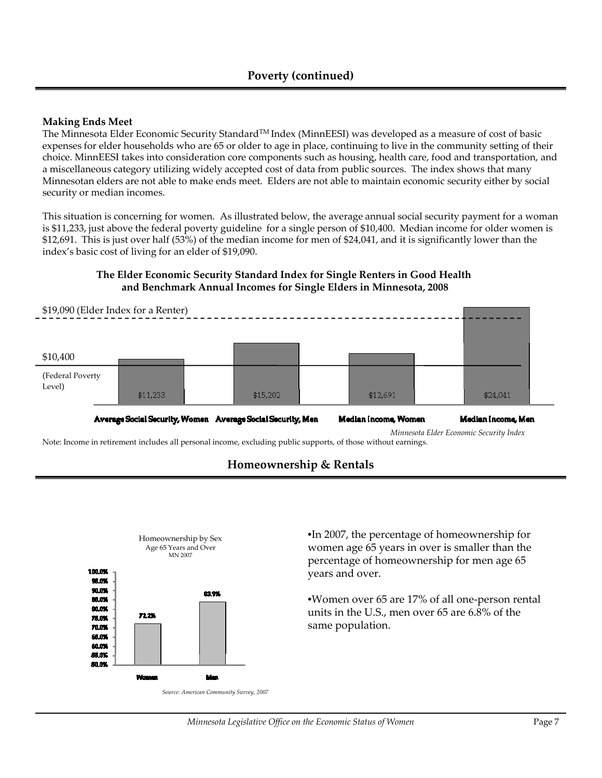# **Making Ends Meet**

The Minnesota Elder Economic Security StandardTM Index (MinnEESI) was developed as a measure of cost of basic expenses for elder households who are 65 or older to age in place, continuing to live in the community setting of their choice. MinnEESI takes into consideration core components such as housing, health care, food and transportation, and a miscellaneous category utilizing widely accepted cost of data from public sources. The index shows that many Minnesotan elders are not able to make ends meet. Elders are not able to maintain economic security either by social security or median incomes.

This situation is concerning for women. As illustrated below, the average annual social security payment for a woman is \$11,233, just above the federal poverty guideline for a single person of \$10,400. Median income for older women is \$12,691. This is just over half (53%) of the median income for men of \$24,041, and it is significantly lower than the index's basic cost of living for an elder of \$19,090.

# **The Elder Economic Security Standard Index for Single Renters in Good Health and Benchmark Annual Incomes for Single Elders in Minnesota, 2008**



Note: Income in retirement includes all personal income, excluding public supports, of those without earnings.



# **Homeownership & Rentals**

•In 2007, the percentage of homeownership for women age 65 years in over is smaller than the percentage of homeownership for men age 65 years and over.

•Women over 65 are 17% of all one‐person rental units in the U.S., men over 65 are 6.8% of the same population.